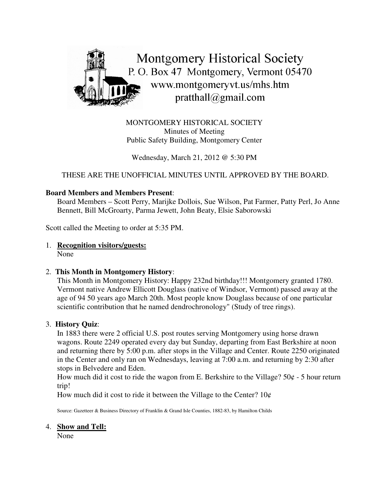

MONTGOMERY HISTORICAL SOCIETY Minutes of Meeting Public Safety Building, Montgomery Center

Wednesday, March 21, 2012 @ 5:30 PM

THESE ARE THE UNOFFICIAL MINUTES UNTIL APPROVED BY THE BOARD.

#### **Board Members and Members Present**:

Board Members – Scott Perry, Marijke Dollois, Sue Wilson, Pat Farmer, Patty Perl, Jo Anne Bennett, Bill McGroarty, Parma Jewett, John Beaty, Elsie Saborowski

Scott called the Meeting to order at 5:35 PM.

# 1. **Recognition visitors/guests:**

None

# 2. **This Month in Montgomery History**:

This Month in Montgomery History: Happy 232nd birthday!!! Montgomery granted 1780. Vermont native Andrew Ellicott Douglass (native of Windsor, Vermont) passed away at the age of 94 50 years ago March 20th. Most people know Douglass because of one particular scientific contribution that he named dendrochronology" (Study of tree rings).

#### 3. **History Quiz**:

In 1883 there were 2 official U.S. post routes serving Montgomery using horse drawn wagons. Route 2249 operated every day but Sunday, departing from East Berkshire at noon and returning there by 5:00 p.m. after stops in the Village and Center. Route 2250 originated in the Center and only ran on Wednesdays, leaving at 7:00 a.m. and returning by 2:30 after stops in Belvedere and Eden.

How much did it cost to ride the wagon from E. Berkshire to the Village?  $50¢ - 5$  hour return trip!

How much did it cost to ride it between the Village to the Center?  $10¢$ 

Source: Gazetteer & Business Directory of Franklin & Grand Isle Counties, 1882-83, by Hamilton Childs

#### 4. **Show and Tell:**

None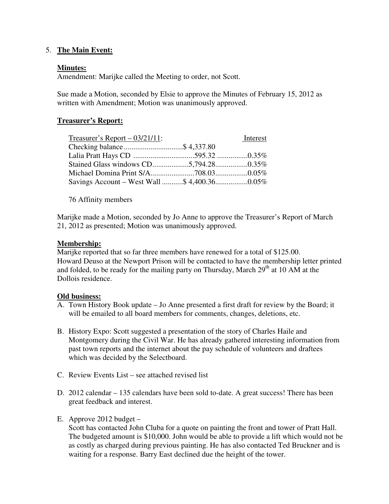# 5. **The Main Event:**

#### **Minutes:**

Amendment: Marijke called the Meeting to order, not Scott.

Sue made a Motion, seconded by Elsie to approve the Minutes of February 15, 2012 as written with Amendment; Motion was unanimously approved.

# **Treasurer's Report:**

| Treasurer's Report $-$ 03/21/11: | Interest |
|----------------------------------|----------|
| Checking balance\$ 4,337.80      |          |
|                                  |          |
|                                  |          |
|                                  |          |
|                                  |          |

76 Affinity members

Marijke made a Motion, seconded by Jo Anne to approve the Treasurer's Report of March 21, 2012 as presented; Motion was unanimously approved.

#### **Membership:**

Marijke reported that so far three members have renewed for a total of \$125.00. Howard Deuso at the Newport Prison will be contacted to have the membership letter printed and folded, to be ready for the mailing party on Thursday, March  $29<sup>th</sup>$  at 10 AM at the Dollois residence.

#### **Old business:**

- A. Town History Book update Jo Anne presented a first draft for review by the Board; it will be emailed to all board members for comments, changes, deletions, etc.
- B. History Expo: Scott suggested a presentation of the story of Charles Haile and Montgomery during the Civil War. He has already gathered interesting information from past town reports and the internet about the pay schedule of volunteers and draftees which was decided by the Selectboard.
- C. Review Events List see attached revised list
- D. 2012 calendar 135 calendars have been sold to-date. A great success! There has been great feedback and interest.
- E. Approve 2012 budget –

Scott has contacted John Cluba for a quote on painting the front and tower of Pratt Hall. The budgeted amount is \$10,000. John would be able to provide a lift which would not be as costly as charged during previous painting. He has also contacted Ted Bruckner and is waiting for a response. Barry East declined due the height of the tower.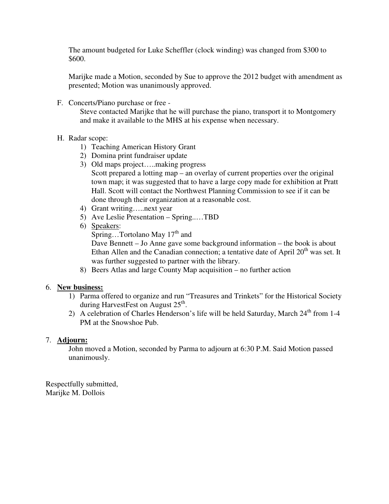The amount budgeted for Luke Scheffler (clock winding) was changed from \$300 to \$600.

Marijke made a Motion, seconded by Sue to approve the 2012 budget with amendment as presented; Motion was unanimously approved.

F. Concerts/Piano purchase or free -

Steve contacted Marijke that he will purchase the piano, transport it to Montgomery and make it available to the MHS at his expense when necessary.

# H. Radar scope:

- 1) Teaching American History Grant
- 2) Domina print fundraiser update
- 3) Old maps project…..making progress Scott prepared a lotting map – an overlay of current properties over the original town map; it was suggested that to have a large copy made for exhibition at Pratt Hall. Scott will contact the Northwest Planning Commission to see if it can be done through their organization at a reasonable cost.
- 4) Grant writing…..next year
- 5) Ave Leslie Presentation Spring..…TBD
- 6) Speakers:

Spring...Tortolano May 17<sup>th</sup> and

Dave Bennett – Jo Anne gave some background information – the book is about Ethan Allen and the Canadian connection; a tentative date of April  $20<sup>th</sup>$  was set. It was further suggested to partner with the library.

8) Beers Atlas and large County Map acquisition – no further action

# 6. **New business:**

- 1) Parma offered to organize and run "Treasures and Trinkets" for the Historical Society during HarvestFest on August 25<sup>th</sup>.
- 2) A celebration of Charles Henderson's life will be held Saturday, March 24<sup>th</sup> from 1-4 PM at the Snowshoe Pub.

# 7. **Adjourn:**

John moved a Motion, seconded by Parma to adjourn at 6:30 P.M. Said Motion passed unanimously.

Respectfully submitted, Marijke M. Dollois